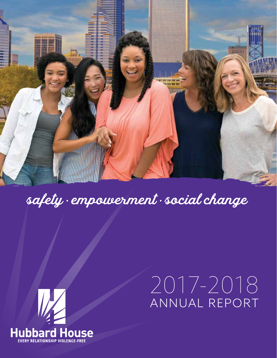

## safety • empowerment • social change



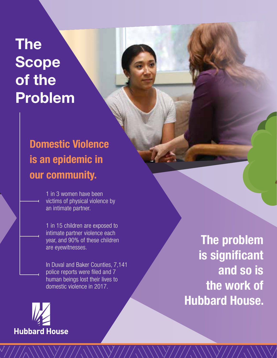## **The Scope of the Problem**

#### **Domestic Violence is an epidemic in our community.**

1 in 3 women have been victims of physical violence by an intimate partner.

1 in 15 children are exposed to intimate partner violence each year, and 90% of these children are eyewitnesses.

In Duval and Baker Counties, 7,141 police reports were filed and 7 human beings lost their lives to domestic violence in 2017.

**Hubbard House** 

**The problem is significant and so is the work of Hubbard House.**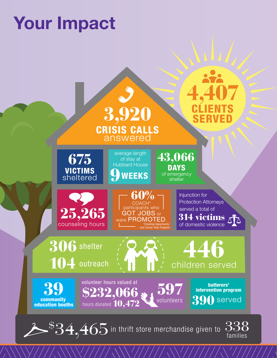# **Your Impact**

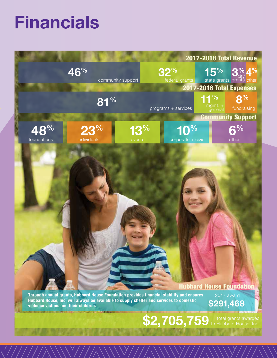## **Financials**

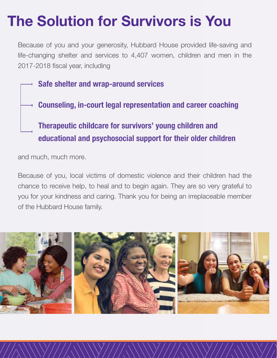## **The Solution for Survivors is You**

Because of you and your generosity, Hubbard House provided life-saving and life-changing shelter and services to 4,407 women, children and men in the 2017-2018 fiscal year, including

**Safe shelter and wrap-around services**

**Counseling, in-court legal representation and career coaching**

#### **Therapeutic childcare for survivors' young children and educational and psychosocial support for their older children**

and much, much more.

Because of you, local victims of domestic violence and their children had the chance to receive help, to heal and to begin again. They are so very grateful to you for your kindness and caring. Thank you for being an irreplaceable member of the Hubbard House family.